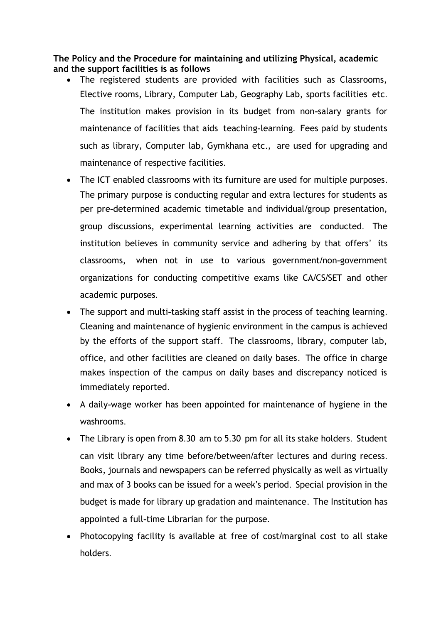**The Policy and the Procedure for maintaining and utilizing Physical, academic and the support facilities is as follows** 

- The registered students are provided with facilities such as Classrooms, Elective rooms, Library, Computer Lab, Geography Lab, sports facilities etc. The institution makes provision in its budget from non-salary grants for maintenance of facilities that aids teaching-learning. Fees paid by students such as library, Computer lab, Gymkhana etc., are used for upgrading and maintenance of respective facilities.
- The ICT enabled classrooms with its furniture are used for multiple purposes. The primary purpose is conducting regular and extra lectures for students as per pre-determined academic timetable and individual/group presentation, group discussions, experimental learning activities are conducted. The institution believes in community service and adhering by that offers' its classrooms, when not in use to various government/non-government organizations for conducting competitive exams like CA/CS/SET and other academic purposes.
- The support and multi-tasking staff assist in the process of teaching learning. Cleaning and maintenance of hygienic environment in the campus is achieved by the efforts of the support staff. The classrooms, library, computer lab, office, and other facilities are cleaned on daily bases. The office in charge makes inspection of the campus on daily bases and discrepancy noticed is immediately reported.
- A daily-wage worker has been appointed for maintenance of hygiene in the washrooms.
- The Library is open from 8.30 am to 5.30 pm for all its stake holders. Student can visit library any time before/between/after lectures and during recess. Books, journals and newspapers can be referred physically as well as virtually and max of 3 books can be issued for a week's period. Special provision in the budget is made for library up gradation and maintenance. The Institution has appointed a full-time Librarian for the purpose.
- Photocopying facility is available at free of cost/marginal cost to all stake holders.